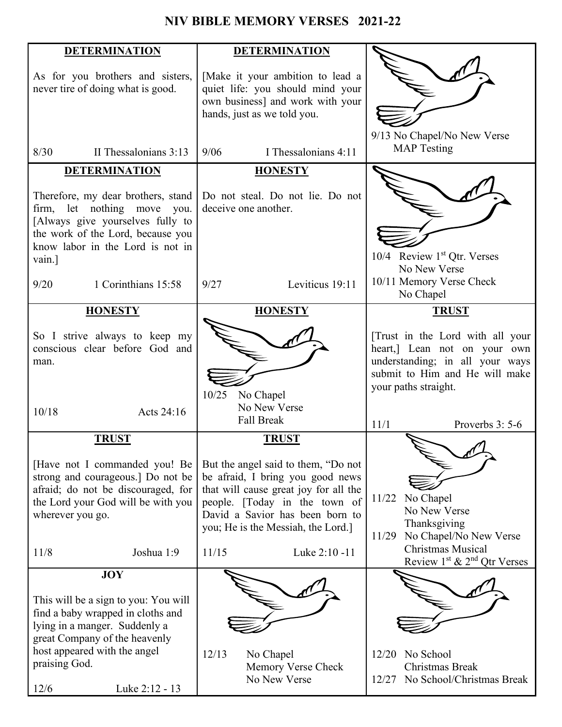# **NIV BIBLE MEMORY VERSES 2021-22**

| <b>DETERMINATION</b>                 | <b>DETERMINATION</b>                  |                                  |
|--------------------------------------|---------------------------------------|----------------------------------|
|                                      |                                       |                                  |
| As for you brothers and sisters,     | [Make it your ambition to lead a      |                                  |
| never tire of doing what is good.    | quiet life: you should mind your      |                                  |
|                                      | own business] and work with your      |                                  |
|                                      | hands, just as we told you.           |                                  |
|                                      |                                       |                                  |
|                                      |                                       | 9/13 No Chapel/No New Verse      |
| II Thessalonians 3:13<br>8/30        | 9/06<br>I Thessalonians 4:11          | <b>MAP</b> Testing               |
| <b>DETERMINATION</b>                 | <b>HONESTY</b>                        |                                  |
|                                      |                                       |                                  |
| Therefore, my dear brothers, stand   | Do not steal. Do not lie. Do not      |                                  |
| firm, let nothing move you.          | deceive one another.                  |                                  |
| [Always give yourselves fully to     |                                       |                                  |
| the work of the Lord, because you    |                                       |                                  |
| know labor in the Lord is not in     |                                       | 10/4 Review 1st Qtr. Verses      |
| vain.]                               |                                       | No New Verse                     |
|                                      |                                       | 10/11 Memory Verse Check         |
| 1 Corinthians 15:58<br>9/20          | 9/27<br>Leviticus 19:11               | No Chapel                        |
| <b>HONESTY</b>                       | <b>HONESTY</b>                        | <b>TRUST</b>                     |
|                                      |                                       |                                  |
| So I strive always to keep my        |                                       | [Trust in the Lord with all your |
| conscious clear before God and       |                                       | heart,] Lean not on your own     |
| man.                                 |                                       | understanding; in all your ways  |
|                                      |                                       | submit to Him and He will make   |
|                                      | 10/25<br>No Chapel                    | your paths straight.             |
|                                      | No New Verse                          |                                  |
| 10/18<br>Acts 24:16                  | <b>Fall Break</b>                     |                                  |
|                                      |                                       | 11/1<br>Proverbs 3: 5-6          |
| <b>TRUST</b>                         | <b>TRUST</b>                          |                                  |
| [Have not I commanded you! Be        | But the angel said to them, "Do not   |                                  |
| strong and courageous.] Do not be    | be afraid, I bring you good news      |                                  |
| afraid; do not be discouraged, for   | that will cause great joy for all the |                                  |
| the Lord your God will be with you   | people. [Today in the town of         | No Chapel<br>11/22               |
| wherever you go.                     | David a Savior has been born to       | No New Verse                     |
|                                      | you; He is the Messiah, the Lord.]    | Thanksgiving                     |
|                                      |                                       | 11/29 No Chapel/No New Verse     |
| 11/8<br>Joshua 1:9                   | 11/15<br>Luke 2:10 -11                | <b>Christmas Musical</b>         |
|                                      |                                       | Review $1st$ & $2nd$ Qtr Verses  |
| <b>JOY</b>                           |                                       |                                  |
| This will be a sign to you: You will |                                       |                                  |
| find a baby wrapped in cloths and    |                                       |                                  |
| lying in a manger. Suddenly a        |                                       |                                  |
| great Company of the heavenly        |                                       |                                  |
| host appeared with the angel         | 12/13<br>No Chapel                    | No School<br>12/20               |
| praising God.                        | Memory Verse Check                    | Christmas Break                  |
|                                      | No New Verse                          | 12/27 No School/Christmas Break  |
| 12/6<br>Luke 2:12 - 13               |                                       |                                  |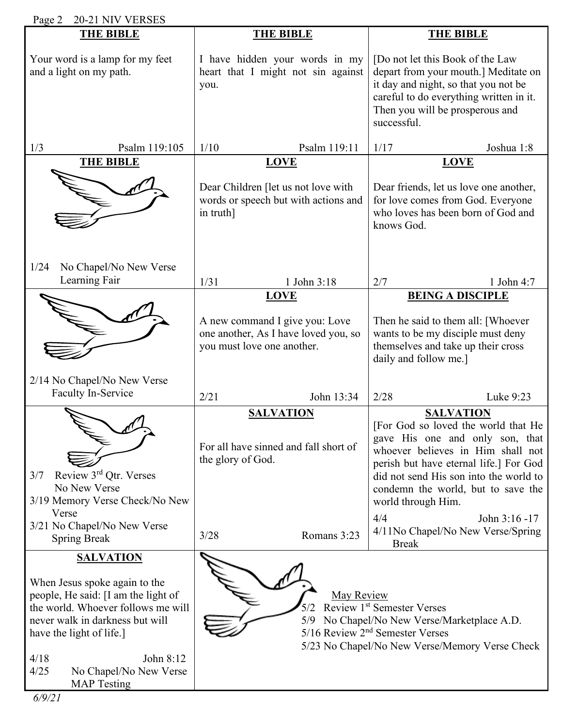| 20-21 NIV VERSES<br>Page 2                                                                                                                                                                                                                                                 |                                                                                                         |                                                                                                                                                                                                                                                                                 |  |  |
|----------------------------------------------------------------------------------------------------------------------------------------------------------------------------------------------------------------------------------------------------------------------------|---------------------------------------------------------------------------------------------------------|---------------------------------------------------------------------------------------------------------------------------------------------------------------------------------------------------------------------------------------------------------------------------------|--|--|
| <b>THE BIBLE</b>                                                                                                                                                                                                                                                           | <b>THE BIBLE</b>                                                                                        | <b>THE BIBLE</b>                                                                                                                                                                                                                                                                |  |  |
| Your word is a lamp for my feet<br>and a light on my path.                                                                                                                                                                                                                 | I have hidden your words in my<br>heart that I might not sin against<br>you.                            | [Do not let this Book of the Law<br>depart from your mouth.] Meditate on<br>it day and night, so that you not be<br>careful to do everything written in it.<br>Then you will be prosperous and<br>successful.                                                                   |  |  |
| Psalm 119:105<br>1/3                                                                                                                                                                                                                                                       | 1/10<br>Psalm 119:11                                                                                    | 1/17<br>Joshua 1:8                                                                                                                                                                                                                                                              |  |  |
| <b>THE BIBLE</b>                                                                                                                                                                                                                                                           | <b>LOVE</b><br>Dear Children [let us not love with<br>words or speech but with actions and<br>in truth] | <b>LOVE</b><br>Dear friends, let us love one another,<br>for love comes from God. Everyone<br>who loves has been born of God and<br>knows God.                                                                                                                                  |  |  |
| 1/24<br>No Chapel/No New Verse                                                                                                                                                                                                                                             |                                                                                                         |                                                                                                                                                                                                                                                                                 |  |  |
| Learning Fair                                                                                                                                                                                                                                                              | 1/31<br>1 John 3:18<br><b>LOVE</b>                                                                      | 2/7<br>1 John 4:7<br><b>BEING A DISCIPLE</b>                                                                                                                                                                                                                                    |  |  |
|                                                                                                                                                                                                                                                                            | A new command I give you: Love<br>one another, As I have loved you, so<br>you must love one another.    | Then he said to them all: [Whoever<br>wants to be my disciple must deny<br>themselves and take up their cross<br>daily and follow me.]                                                                                                                                          |  |  |
| 2/14 No Chapel/No New Verse<br>Faculty In-Service                                                                                                                                                                                                                          | 2/21<br>John 13:34                                                                                      | 2/28<br>Luke 9:23                                                                                                                                                                                                                                                               |  |  |
| Review 3rd Qtr. Verses<br>3/7<br>No New Verse<br>3/19 Memory Verse Check/No New                                                                                                                                                                                            | <b>SALVATION</b><br>For all have sinned and fall short of<br>the glory of God.                          | <b>SALVATION</b><br>[For God so loved the world that He<br>gave His one and only son, that<br>whoever believes in Him shall not<br>perish but have eternal life.] For God<br>did not send His son into the world to<br>condemn the world, but to save the<br>world through Him. |  |  |
| Verse<br>3/21 No Chapel/No New Verse<br><b>Spring Break</b>                                                                                                                                                                                                                | 3/28<br>Romans 3:23                                                                                     | 4/4<br>John 3:16 -17<br>4/11No Chapel/No New Verse/Spring<br><b>Break</b>                                                                                                                                                                                                       |  |  |
| <b>SALVATION</b><br>When Jesus spoke again to the<br>people, He said: [I am the light of<br>the world. Whoever follows me will<br>never walk in darkness but will<br>have the light of life.]<br>4/18<br>John 8:12<br>4/25<br>No Chapel/No New Verse<br><b>MAP</b> Testing | May Review<br>5/9                                                                                       | Review 1st Semester Verses<br>No Chapel/No New Verse/Marketplace A.D.<br>$5/16$ Review $2nd$ Semester Verses<br>5/23 No Chapel/No New Verse/Memory Verse Check                                                                                                                  |  |  |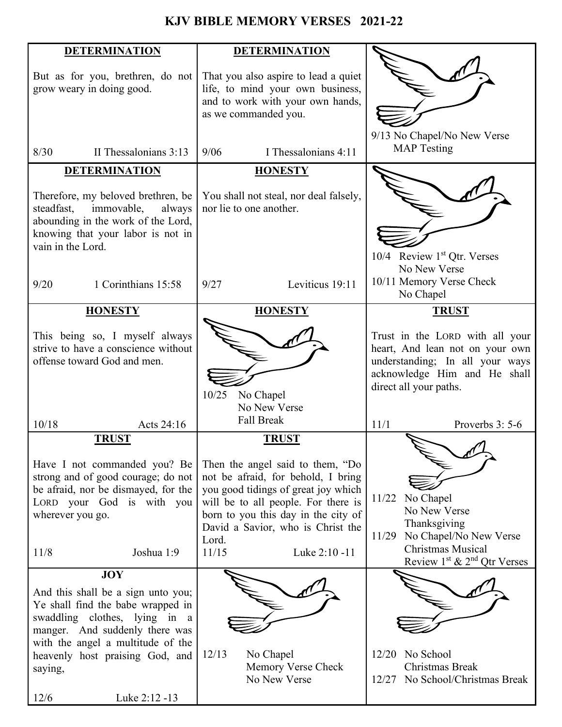# **KJV BIBLE MEMORY VERSES 2021-22**

| <b>DETERMINATION</b>                                                                                                                                                                                                                                   | <b>DETERMINATION</b>                                                                                                                                                                                                                                                                |                                                                                                                                                                 |
|--------------------------------------------------------------------------------------------------------------------------------------------------------------------------------------------------------------------------------------------------------|-------------------------------------------------------------------------------------------------------------------------------------------------------------------------------------------------------------------------------------------------------------------------------------|-----------------------------------------------------------------------------------------------------------------------------------------------------------------|
| But as for you, brethren, do not<br>grow weary in doing good.                                                                                                                                                                                          | That you also aspire to lead a quiet<br>life, to mind your own business,<br>and to work with your own hands,<br>as we commanded you.                                                                                                                                                | 9/13 No Chapel/No New Verse                                                                                                                                     |
| 8/30<br>II Thessalonians 3:13                                                                                                                                                                                                                          | 9/06<br>I Thessalonians 4:11                                                                                                                                                                                                                                                        | <b>MAP</b> Testing                                                                                                                                              |
| <b>DETERMINATION</b>                                                                                                                                                                                                                                   | <b>HONESTY</b>                                                                                                                                                                                                                                                                      |                                                                                                                                                                 |
| Therefore, my beloved brethren, be<br>immovable,<br>steadfast,<br>always<br>abounding in the work of the Lord,<br>knowing that your labor is not in<br>vain in the Lord.                                                                               | You shall not steal, nor deal falsely,<br>nor lie to one another.                                                                                                                                                                                                                   | 10/4 Review 1st Qtr. Verses<br>No New Verse                                                                                                                     |
| 9/20<br>1 Corinthians 15:58                                                                                                                                                                                                                            | 9/27<br>Leviticus 19:11                                                                                                                                                                                                                                                             | 10/11 Memory Verse Check<br>No Chapel                                                                                                                           |
| <b>HONESTY</b>                                                                                                                                                                                                                                         | <b>HONESTY</b>                                                                                                                                                                                                                                                                      | <b>TRUST</b>                                                                                                                                                    |
| This being so, I myself always<br>strive to have a conscience without<br>offense toward God and men.                                                                                                                                                   | 10/25<br>No Chapel<br>No New Verse                                                                                                                                                                                                                                                  | Trust in the LORD with all your<br>heart, And lean not on your own<br>understanding; In all your ways<br>acknowledge Him and He shall<br>direct all your paths. |
| 10/18<br>Acts 24:16                                                                                                                                                                                                                                    | <b>Fall Break</b>                                                                                                                                                                                                                                                                   | 11/1<br>Proverbs 3: 5-6                                                                                                                                         |
| <b>TRUST</b><br>Have I not commanded you? Be<br>strong and of good courage; do not<br>be afraid, nor be dismayed, for the<br>LORD your God is with you<br>wherever you go.<br>11/8<br>Joshua 1:9                                                       | <b>TRUST</b><br>Then the angel said to them, "Do<br>not be afraid, for behold, I bring<br>you good tidings of great joy which<br>will be to all people. For there is<br>born to you this day in the city of<br>David a Savior, who is Christ the<br>Lord.<br>11/15<br>Luke 2:10 -11 | No Chapel<br>11/22<br>No New Verse<br>Thanksgiving<br>11/29 No Chapel/No New Verse<br><b>Christmas Musical</b><br>Review $1st$ & $2nd$ Qtr Verses               |
| <b>JOY</b>                                                                                                                                                                                                                                             |                                                                                                                                                                                                                                                                                     |                                                                                                                                                                 |
| And this shall be a sign unto you;<br>Ye shall find the babe wrapped in<br>swaddling clothes, lying in a<br>manger. And suddenly there was<br>with the angel a multitude of the<br>heavenly host praising God, and<br>saying,<br>12/6<br>Luke 2:12 -13 | 12/13<br>No Chapel<br>Memory Verse Check<br>No New Verse                                                                                                                                                                                                                            | 12/20 No School<br>Christmas Break<br>12/27 No School/Christmas Break                                                                                           |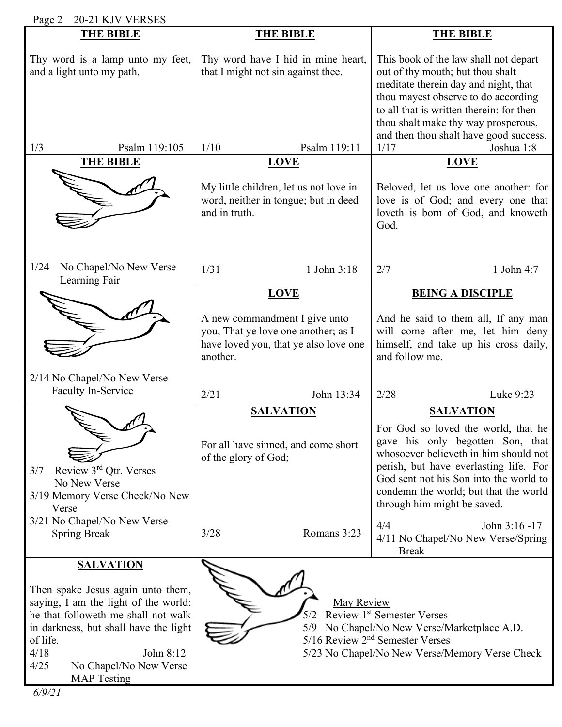| 20-21 KJV VERSES<br>Page 2                                                                                                                                                                                                                                             |                                                                                                                                          |                                                                                                                                                                                                                                                                                                                          |  |  |
|------------------------------------------------------------------------------------------------------------------------------------------------------------------------------------------------------------------------------------------------------------------------|------------------------------------------------------------------------------------------------------------------------------------------|--------------------------------------------------------------------------------------------------------------------------------------------------------------------------------------------------------------------------------------------------------------------------------------------------------------------------|--|--|
| <b>THE BIBLE</b>                                                                                                                                                                                                                                                       | <b>THE BIBLE</b>                                                                                                                         | <b>THE BIBLE</b>                                                                                                                                                                                                                                                                                                         |  |  |
| Thy word is a lamp unto my feet,<br>and a light unto my path.                                                                                                                                                                                                          | Thy word have I hid in mine heart,<br>that I might not sin against thee.                                                                 | This book of the law shall not depart<br>out of thy mouth; but thou shalt<br>meditate therein day and night, that<br>thou mayest observe to do according<br>to all that is written therein: for then<br>thou shalt make thy way prosperous,<br>and then thou shalt have good success.                                    |  |  |
| Psalm 119:105<br>1/3                                                                                                                                                                                                                                                   | Psalm 119:11<br>1/10                                                                                                                     | 1/17<br>Joshua 1:8                                                                                                                                                                                                                                                                                                       |  |  |
| <b>THE BIBLE</b>                                                                                                                                                                                                                                                       | <b>LOVE</b><br>My little children, let us not love in<br>word, neither in tongue; but in deed<br>and in truth.                           | <b>LOVE</b><br>Beloved, let us love one another: for<br>love is of God; and every one that<br>loveth is born of God, and knoweth<br>God.                                                                                                                                                                                 |  |  |
| No Chapel/No New Verse<br>1/24<br>Learning Fair                                                                                                                                                                                                                        | 1/31<br>1 John 3:18                                                                                                                      | 2/7<br>1 John 4:7                                                                                                                                                                                                                                                                                                        |  |  |
| 2/14 No Chapel/No New Verse<br>Faculty In-Service                                                                                                                                                                                                                      | <b>LOVE</b><br>A new commandment I give unto<br>you, That ye love one another; as I<br>have loved you, that ye also love one<br>another. | <b>BEING A DISCIPLE</b><br>And he said to them all, If any man<br>will come after me, let him deny<br>himself, and take up his cross daily,<br>and follow me.                                                                                                                                                            |  |  |
|                                                                                                                                                                                                                                                                        | 2/21<br>John 13:34                                                                                                                       | 2/28<br>Luke 9:23                                                                                                                                                                                                                                                                                                        |  |  |
| Review 3rd Qtr. Verses<br>3/7<br>No New Verse<br>3/19 Memory Verse Check/No New<br>Verse<br>3/21 No Chapel/No New Verse                                                                                                                                                | <b>SALVATION</b><br>For all have sinned, and come short<br>of the glory of God;                                                          | <b>SALVATION</b><br>For God so loved the world, that he<br>gave his only begotten Son, that<br>whosoever believeth in him should not<br>perish, but have everlasting life. For<br>God sent not his Son into the world to<br>condemn the world; but that the world<br>through him might be saved.<br>4/4<br>John 3:16 -17 |  |  |
| <b>Spring Break</b>                                                                                                                                                                                                                                                    | Romans 3:23<br>3/28                                                                                                                      | 4/11 No Chapel/No New Verse/Spring<br><b>Break</b>                                                                                                                                                                                                                                                                       |  |  |
| <b>SALVATION</b><br>Then spake Jesus again unto them,<br>saying, I am the light of the world:<br>he that followeth me shall not walk<br>in darkness, but shall have the light<br>of life.<br>4/18<br>John 8:12<br>4/25<br>No Chapel/No New Verse<br><b>MAP</b> Testing | May Review<br>5/9                                                                                                                        | Review 1st Semester Verses<br>No Chapel/No New Verse/Marketplace A.D.<br>5/16 Review 2 <sup>nd</sup> Semester Verses<br>5/23 No Chapel/No New Verse/Memory Verse Check                                                                                                                                                   |  |  |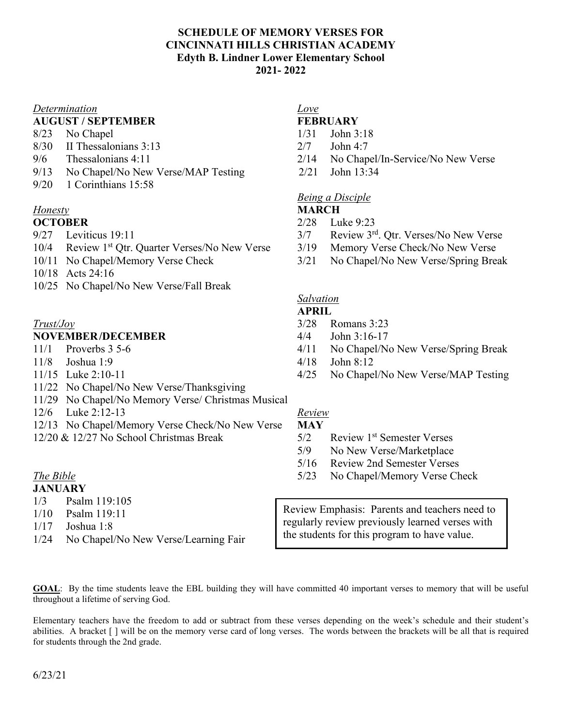# **SCHEDULE OF MEMORY VERSES FOR CINCINNATI HILLS CHRISTIAN ACADEMY Edyth B. Lindner Lower Elementary School 2021- 2022**

# *Determination Love*

# **AUGUST / SEPTEMBER FEBRUARY**

- 8/23 No Chapel 1/31 John 3:18
- 8/30 II Thessalonians 3:13 2/7 John 4:7
- 
- 9/13 No Chapel/No New Verse/MAP Testing 2/21 John 13:34
- 9/20 1 Corinthians 15:58

## *Honesty* **MARCH**

- 
- 10/4 Review 1<sup>st</sup> Otr. Quarter Verses/No New Verse 3/19 Memory Verse Check/No New Verse
- 
- 10/18 Acts 24:16
- 10/25 No Chapel/No New Verse/Fall Break

## **NOVEMBER/DECEMBER** 4/4 John 3:16-17

- 
- 
- 
- 11/22 No Chapel/No New Verse/Thanksgiving
- 11/29 No Chapel/No Memory Verse/ Christmas Musical
- 12/6 Luke 2:12-13 *Review*
- 12/13 No Chapel/Memory Verse Check/No New Verse **MAY**
- 12/20 & 12/27 No School Christmas Break 5/2 Review 1st Semester Verses

### **JANUARY**

- 1/3 Psalm 119:105
- 1/10 Psalm 119:11
- 1/17 Joshua 1:8
- 1/24 No Chapel/No New Verse/Learning Fair

- 
- 
- 9/6 Thessalonians 4:11 2/14 No Chapel/In-Service/No New Verse
	-

# *Being a Disciple*

- **OCTOBER** 2/28 Luke 9:23
- 9/27 Leviticus 19:11 3/7 Review 3<sup>rd</sup>. Qtr. Verses/No New Verse
	-
- 10/11 No Chapel/Memory Verse Check 3/21 No Chapel/No New Verse/Spring Break

## *Salvation*

### **APRIL**

- *Trust/Joy* 3/28 Romans 3:23
	-
- 11/1 Proverbs 3 5-6 4/11 No Chapel/No New Verse/Spring Break
- 11/8 Joshua 1:9 4/18 John 8:12
- 11/15 Luke 2:10-11 4/25 No Chapel/No New Verse/MAP Testing

- 
- 5/9 No New Verse/Marketplace
- 5/16 Review 2nd Semester Verses
- *The Bible* 5/23 No Chapel/Memory Verse Check

Review Emphasis: Parents and teachers need to regularly review previously learned verses with the students for this program to have value.

**GOAL**: By the time students leave the EBL building they will have committed 40 important verses to memory that will be useful throughout a lifetime of serving God.

Elementary teachers have the freedom to add or subtract from these verses depending on the week's schedule and their student's abilities. A bracket [ ] will be on the memory verse card of long verses. The words between the brackets will be all that is required for students through the 2nd grade.